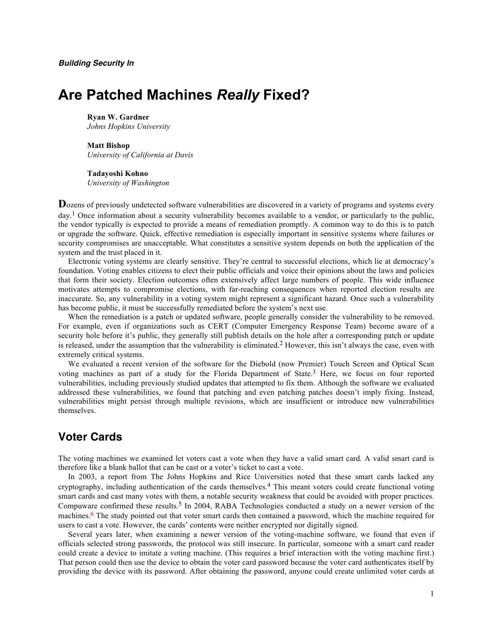# **Are Patched Machines** *Really* **Fixed?**

#### **Ryan W. Gardner** *Johns Hopkins University*

**Matt Bishop** *University of California at Davis*

**Tadayoshi Kohno** *University of Washington*

**D**ozens of previously undetected software vulnerabilities are discovered in a variety of programs and systems every day.<sup>1</sup> Once information about a security vulnerability becomes available to a vendor, or particularly to the public, the vendor typically is expected to provide a means of remediation promptly. A common way to do this is to patch or upgrade the software. Quick, effective remediation is especially important in sensitive systems where failures or security compromises are unacceptable. What constitutes a sensitive system depends on both the application of the system and the trust placed in it.

Electronic voting systems are clearly sensitive. They're central to successful elections, which lie at democracy's foundation. Voting enables citizens to elect their public officials and voice their opinions about the laws and policies that form their society. Election outcomes often extensively affect large numbers of people. This wide influence motivates attempts to compromise elections, with far-reaching consequences when reported election results are inaccurate. So, any vulnerability in a voting system might represent a significant hazard. Once such a vulnerability has become public, it must be successfully remediated before the system's next use.

When the remediation is a patch or updated software, people generally consider the vulnerability to be removed. For example, even if organizations such as CERT (Computer Emergency Response Team) become aware of a security hole before it's public, they generally still publish details on the hole after a corresponding patch or update is released, under the assumption that the vulnerability is eliminated.<sup>2</sup> However, this isn't always the case, even with extremely critical systems.

We evaluated a recent version of the software for the Diebold (now Premier) Touch Screen and Optical Scan voting machines as part of a study for the Florida Department of State.<sup>3</sup> Here, we focus on four reported vulnerabilities, including previously studied updates that attempted to fix them. Although the software we evaluated addressed these vulnerabilities, we found that patching and even patching patches doesn't imply fixing. Instead, vulnerabilities might persist through multiple revisions, which are insufficient or introduce new vulnerabilities themselves.

# **Voter Cards**

The voting machines we examined let voters cast a vote when they have a valid smart card. A valid smart card is therefore like a blank ballot that can be cast or a voter's ticket to cast a vote.

In 2003, a report from The Johns Hopkins and Rice Universities noted that these smart cards lacked any cryptography, including authentication of the cards themselves. 4 This meant voters could create functional voting smart cards and cast many votes with them, a notable security weakness that could be avoided with proper practices. Compuware confirmed these results. 5 In 2004, RABA Technologies conducted a study on a newer version of the machines.<sup>6</sup> The study pointed out that voter smart cards then contained a password, which the machine required for users to cast a vote. However, the cards' contents were neither encrypted nor digitally signed.

Several years later, when examining a newer version of the voting-machine software, we found that even if officials selected strong passwords, the protocol was still insecure. In particular, someone with a smart card reader could create a device to imitate a voting machine. (This requires a brief interaction with the voting machine first.) That person could then use the device to obtain the voter card password because the voter card authenticates itself by providing the device with its password. After obtaining the password, anyone could create unlimited voter cards at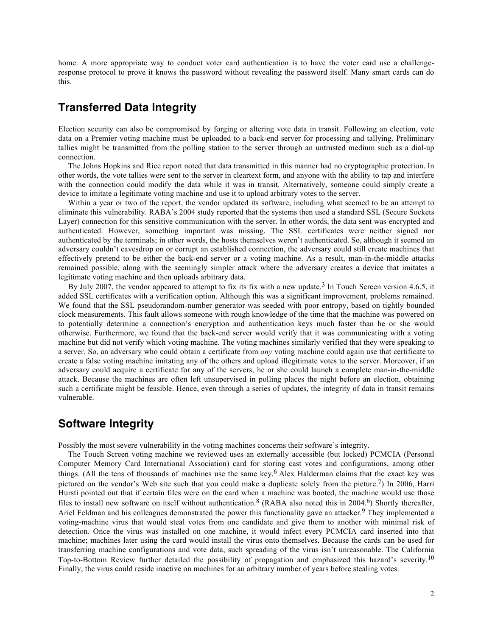home. A more appropriate way to conduct voter card authentication is to have the voter card use a challengeresponse protocol to prove it knows the password without revealing the password itself. Many smart cards can do this.

# **Transferred Data Integrity**

Election security can also be compromised by forging or altering vote data in transit. Following an election, vote data on a Premier voting machine must be uploaded to a back-end server for processing and tallying. Preliminary tallies might be transmitted from the polling station to the server through an untrusted medium such as a dial-up connection.

The Johns Hopkins and Rice report noted that data transmitted in this manner had no cryptographic protection. In other words, the vote tallies were sent to the server in cleartext form, and anyone with the ability to tap and interfere with the connection could modify the data while it was in transit. Alternatively, someone could simply create a device to imitate a legitimate voting machine and use it to upload arbitrary votes to the server.

Within a year or two of the report, the vendor updated its software, including what seemed to be an attempt to eliminate this vulnerability. RABA's 2004 study reported that the systems then used a standard SSL (Secure Sockets Layer) connection for this sensitive communication with the server. In other words, the data sent was encrypted and authenticated. However, something important was missing. The SSL certificates were neither signed nor authenticated by the terminals; in other words, the hosts themselves weren't authenticated. So, although it seemed an adversary couldn't eavesdrop on or corrupt an established connection, the adversary could still create machines that effectively pretend to be either the back-end server or a voting machine. As a result, man-in-the-middle attacks remained possible, along with the seemingly simpler attack where the adversary creates a device that imitates a legitimate voting machine and then uploads arbitrary data.

By July 2007, the vendor appeared to attempt to fix its fix with a new update.<sup>3</sup> In Touch Screen version 4.6.5, it added SSL certificates with a verification option. Although this was a significant improvement, problems remained. We found that the SSL pseudorandom-number generator was seeded with poor entropy, based on tightly bounded clock measurements. This fault allows someone with rough knowledge of the time that the machine was powered on to potentially determine a connection's encryption and authentication keys much faster than he or she would otherwise. Furthermore, we found that the back-end server would verify that it was communicating with a voting machine but did not verify which voting machine. The voting machines similarly verified that they were speaking to a server. So, an adversary who could obtain a certificate from *any* voting machine could again use that certificate to create a false voting machine imitating any of the others and upload illegitimate votes to the server. Moreover, if an adversary could acquire a certificate for any of the servers, he or she could launch a complete man-in-the-middle attack. Because the machines are often left unsupervised in polling places the night before an election, obtaining such a certificate might be feasible. Hence, even through a series of updates, the integrity of data in transit remains vulnerable.

# **Software Integrity**

Possibly the most severe vulnerability in the voting machines concerns their software's integrity.

The Touch Screen voting machine we reviewed uses an externally accessible (but locked) PCMCIA (Personal Computer Memory Card International Association) card for storing cast votes and configurations, among other things. (All the tens of thousands of machines use the same key. 6 Alex Halderman claims that the exact key was pictured on the vendor's Web site such that you could make a duplicate solely from the picture.<sup>7</sup>) In 2006, Harri Hursti pointed out that if certain files were on the card when a machine was booted, the machine would use those files to install new software on itself without authentication.<sup>8</sup> (RABA also noted this in 2004.<sup>6</sup>) Shortly thereafter, Ariel Feldman and his colleagues demonstrated the power this functionality gave an attacker.<sup>9</sup> They implemented a voting-machine virus that would steal votes from one candidate and give them to another with minimal risk of detection. Once the virus was installed on one machine, it would infect every PCMCIA card inserted into that machine; machines later using the card would install the virus onto themselves. Because the cards can be used for transferring machine configurations and vote data, such spreading of the virus isn't unreasonable. The California Top-to-Bottom Review further detailed the possibility of propagation and emphasized this hazard's severity.10 Finally, the virus could reside inactive on machines for an arbitrary number of years before stealing votes.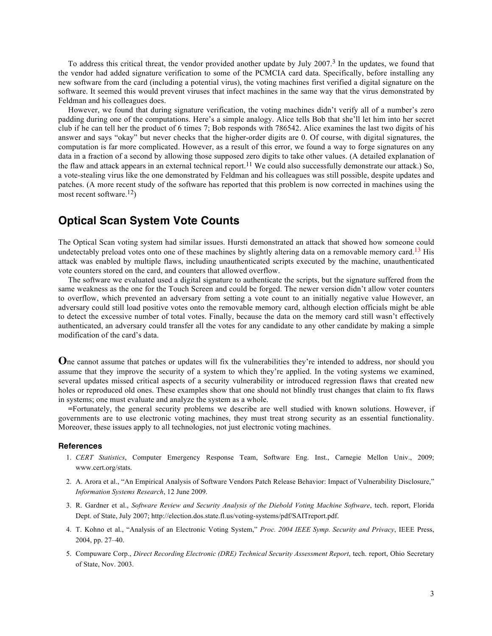To address this critical threat, the vendor provided another update by July 2007.<sup>3</sup> In the updates, we found that the vendor had added signature verification to some of the PCMCIA card data. Specifically, before installing any new software from the card (including a potential virus), the voting machines first verified a digital signature on the software. It seemed this would prevent viruses that infect machines in the same way that the virus demonstrated by Feldman and his colleagues does.

However, we found that during signature verification, the voting machines didn't verify all of a number's zero padding during one of the computations. Here's a simple analogy. Alice tells Bob that she'll let him into her secret club if he can tell her the product of 6 times 7; Bob responds with 786542. Alice examines the last two digits of his answer and says "okay" but never checks that the higher-order digits are 0. Of course, with digital signatures, the computation is far more complicated. However, as a result of this error, we found a way to forge signatures on any data in a fraction of a second by allowing those supposed zero digits to take other values. (A detailed explanation of the flaw and attack appears in an external technical report.<sup>11</sup> We could also successfully demonstrate our attack.) So, a vote-stealing virus like the one demonstrated by Feldman and his colleagues was still possible, despite updates and patches. (A more recent study of the software has reported that this problem is now corrected in machines using the most recent software.<sup>12</sup>)

### **Optical Scan System Vote Counts**

The Optical Scan voting system had similar issues. Hursti demonstrated an attack that showed how someone could undetectably preload votes onto one of these machines by slightly altering data on a removable memory card.<sup>13</sup> His attack was enabled by multiple flaws, including unauthenticated scripts executed by the machine, unauthenticated vote counters stored on the card, and counters that allowed overflow.

The software we evaluated used a digital signature to authenticate the scripts, but the signature suffered from the same weakness as the one for the Touch Screen and could be forged. The newer version didn't allow voter counters to overflow, which prevented an adversary from setting a vote count to an initially negative value However, an adversary could still load positive votes onto the removable memory card, although election officials might be able to detect the excessive number of total votes. Finally, because the data on the memory card still wasn't effectively authenticated, an adversary could transfer all the votes for any candidate to any other candidate by making a simple modification of the card's data.

**O**ne cannot assume that patches or updates will fix the vulnerabilities they're intended to address, nor should you assume that they improve the security of a system to which they're applied. In the voting systems we examined, several updates missed critical aspects of a security vulnerability or introduced regression flaws that created new holes or reproduced old ones. These examples show that one should not blindly trust changes that claim to fix flaws in systems; one must evaluate and analyze the system as a whole.

**=**Fortunately, the general security problems we describe are well studied with known solutions. However, if governments are to use electronic voting machines, they must treat strong security as an essential functionality. Moreover, these issues apply to all technologies, not just electronic voting machines.

### **References**

- 1. *CERT Statistics*, Computer Emergency Response Team, Software Eng. Inst., Carnegie Mellon Univ., 2009; www.cert.org/stats.
- 2. A. Arora et al., "An Empirical Analysis of Software Vendors Patch Release Behavior: Impact of Vulnerability Disclosure," *Information Systems Research*, 12 June 2009.
- 3. R. Gardner et al., *Software Review and Security Analysis of the Diebold Voting Machine Software*, tech. report, Florida Dept. of State, July 2007; http://election.dos.state.fl.us/voting-systems/pdf/SAITreport.pdf.
- 4. T. Kohno et al., "Analysis of an Electronic Voting System," *Proc. 2004 IEEE Symp. Security and Privacy*, IEEE Press, 2004, pp. 27–40.
- 5. Compuware Corp., *Direct Recording Electronic (DRE) Technical Security Assessment Report*, tech. report, Ohio Secretary of State, Nov. 2003.